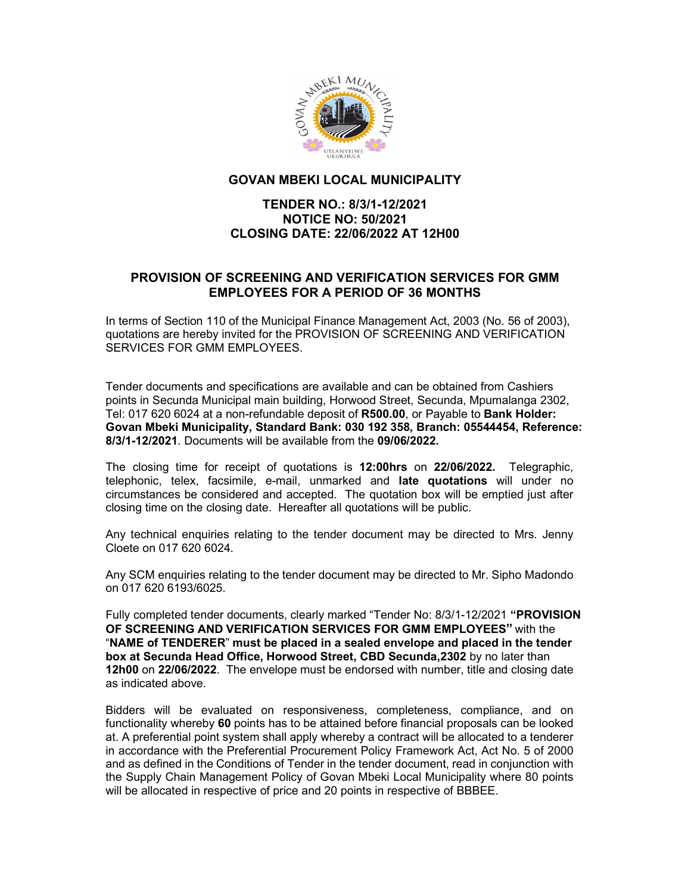

## GOVAN MBEKI LOCAL MUNICIPALITY

## TENDER NO.: 8/3/1-12/2021 NOTICE NO: 50/2021 CLOSING DATE: 22/06/2022 AT 12H00

## PROVISION OF SCREENING AND VERIFICATION SERVICES FOR GMM EMPLOYEES FOR A PERIOD OF 36 MONTHS

In terms of Section 110 of the Municipal Finance Management Act, 2003 (No. 56 of 2003), quotations are hereby invited for the PROVISION OF SCREENING AND VERIFICATION SERVICES FOR GMM EMPLOYEES.

Tender documents and specifications are available and can be obtained from Cashiers points in Secunda Municipal main building, Horwood Street, Secunda, Mpumalanga 2302, Tel: 017 620 6024 at a non-refundable deposit of R500.00, or Payable to Bank Holder: Govan Mbeki Municipality, Standard Bank: 030 192 358, Branch: 05544454, Reference: 8/3/1-12/2021. Documents will be available from the 09/06/2022.

 The closing time for receipt of quotations is 12:00hrs on 22/06/2022. Telegraphic, telephonic, telex, facsimile, e-mail, unmarked and late quotations will under no circumstances be considered and accepted. The quotation box will be emptied just after closing time on the closing date. Hereafter all quotations will be public.

Any technical enquiries relating to the tender document may be directed to Mrs. Jenny Cloete on 017 620 6024.

Any SCM enquiries relating to the tender document may be directed to Mr. Sipho Madondo on 017 620 6193/6025.

Fully completed tender documents, clearly marked "Tender No: 8/3/1-12/2021 "PROVISION OF SCREENING AND VERIFICATION SERVICES FOR GMM EMPLOYEES" with the "NAME of TENDERER" must be placed in a sealed envelope and placed in the tender box at Secunda Head Office, Horwood Street, CBD Secunda,2302 by no later than 12h00 on 22/06/2022. The envelope must be endorsed with number, title and closing date as indicated above.

Bidders will be evaluated on responsiveness, completeness, compliance, and on functionality whereby 60 points has to be attained before financial proposals can be looked at. A preferential point system shall apply whereby a contract will be allocated to a tenderer in accordance with the Preferential Procurement Policy Framework Act, Act No. 5 of 2000 and as defined in the Conditions of Tender in the tender document, read in conjunction with the Supply Chain Management Policy of Govan Mbeki Local Municipality where 80 points will be allocated in respective of price and 20 points in respective of BBBEE.